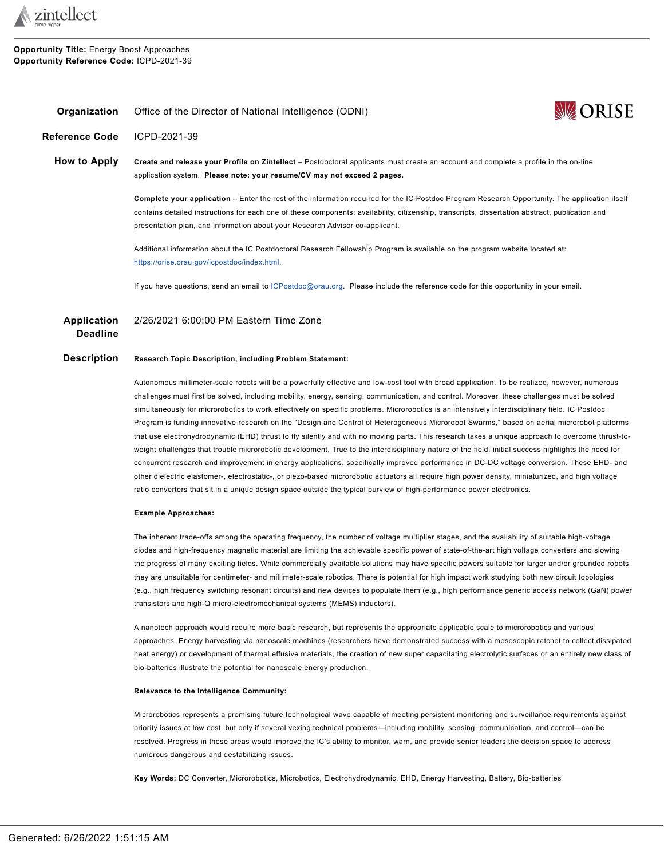

**Opportunity Title:** Energy Boost Approaches **Opportunity Reference Code:** ICPD-2021-39

<span id="page-0-0"></span>

| Organization          | <b>WZ ORISE</b><br>Office of the Director of National Intelligence (ODNI)                                                                                                                                                                                                                                                                                                         |
|-----------------------|-----------------------------------------------------------------------------------------------------------------------------------------------------------------------------------------------------------------------------------------------------------------------------------------------------------------------------------------------------------------------------------|
| <b>Reference Code</b> | ICPD-2021-39                                                                                                                                                                                                                                                                                                                                                                      |
| How to Apply          | Create and release your Profile on Zintellect – Postdoctoral applicants must create an account and complete a profile in the on-line<br>application system. Please note: your resume/CV may not exceed 2 pages.                                                                                                                                                                   |
|                       | Complete your application – Enter the rest of the information required for the IC Postdoc Program Research Opportunity. The application itself<br>contains detailed instructions for each one of these components: availability, citizenship, transcripts, dissertation abstract, publication and<br>presentation plan, and information about your Research Advisor co-applicant. |
|                       | Additional information about the IC Postdoctoral Research Fellowship Program is available on the program website located at:<br>https://orise.orau.gov/icpostdoc/index.html.                                                                                                                                                                                                      |
|                       | If you have questions, send an email to ICPostdoc@orau.org. Please include the reference code for this opportunity in your email.                                                                                                                                                                                                                                                 |
|                       |                                                                                                                                                                                                                                                                                                                                                                                   |

**WA ORISE** 

**Application Deadline** 2/26/2021 6:00:00 PM Eastern Time Zone

### **Description Research Topic Description, including Problem Statement:**

Autonomous millimeter-scale robots will be a powerfully effective and low-cost tool with broad application. To be realized, however, numerous challenges must first be solved, including mobility, energy, sensing, communication, and control. Moreover, these challenges must be solved simultaneously for microrobotics to work effectively on specific problems. Microrobotics is an intensively interdisciplinary field. IC Postdoc Program is funding innovative research on the "Design and Control of Heterogeneous Microrobot Swarms," based on aerial microrobot platforms that use electrohydrodynamic (EHD) thrust to fly silently and with no moving parts. This research takes a unique approach to overcome thrust-toweight challenges that trouble microrobotic development. True to the interdisciplinary nature of the field, initial success highlights the need for concurrent research and improvement in energy applications, specifically improved performance in DC-DC voltage conversion. These EHD- and other dielectric elastomer-, electrostatic-, or piezo-based microrobotic actuators all require high power density, miniaturized, and high voltage ratio converters that sit in a unique design space outside the typical purview of high-performance power electronics.

#### **Example Approaches:**

The inherent trade-offs among the operating frequency, the number of voltage multiplier stages, and the availability of suitable high-voltage diodes and high-frequency magnetic material are limiting the achievable specific power of state-of-the-art high voltage converters and slowing the progress of many exciting fields. While commercially available solutions may have specific powers suitable for larger and/or grounded robots, they are unsuitable for centimeter- and millimeter-scale robotics. There is potential for high impact work studying both new circuit topologies (e.g., high frequency switching resonant circuits) and new devices to populate them (e.g., high performance generic access network (GaN) power transistors and high-Q micro-electromechanical systems (MEMS) inductors).

A nanotech approach would require more basic research, but represents the appropriate applicable scale to microrobotics and various approaches. Energy harvesting via nanoscale machines (researchers have demonstrated success with a mesoscopic ratchet to collect dissipated heat energy) or development of thermal effusive materials, the creation of new super capacitating electrolytic surfaces or an entirely new class of bio-batteries illustrate the potential for nanoscale energy production.

#### **Relevance to the Intelligence Community:**

Microrobotics represents a promising future technological wave capable of meeting persistent monitoring and surveillance requirements against priority issues at low cost, but only if several vexing technical problems—including mobility, sensing, communication, and control—can be resolved. Progress in these areas would improve the IC's ability to monitor, warn, and provide senior leaders the decision space to address numerous dangerous and destabilizing issues.

**Key Words:** DC Converter, Microrobotics, Microbotics, Electrohydrodynamic, EHD, Energy Harvesting, Battery, Bio-batteries